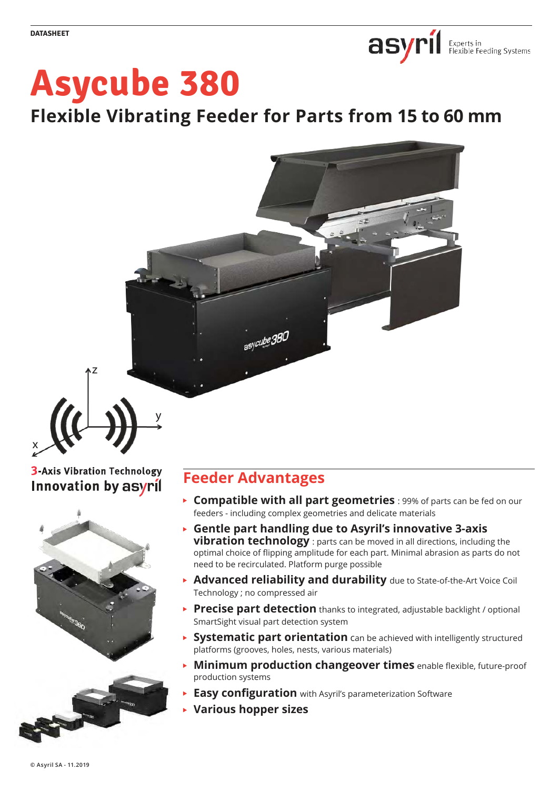

# **Asycube 380**

**Flexible Vibrating Feeder for Parts from 15 to 60 mm**



# **3-Axis Vibration Technology** Innovation by asyril

x



# **Feeder Advantages**

- **Compatible with all part geometries** : 99% of parts can be fed on our feeders - including complex geometries and delicate materials
- **Gentle part handling due to Asyril's innovative 3-axis vibration technology** : parts can be moved in all directions, including the optimal choice of flipping amplitude for each part. Minimal abrasion as parts do not need to be recirculated. Platform purge possible
- **Advanced reliability and durability** due to State-of-the-Art Voice Coil Technology ; no compressed air
- **Precise part detection** thanks to integrated, adjustable backlight / optional SmartSight visual part detection system
- **Systematic part orientation** can be achieved with intelligently structured platforms (grooves, holes, nests, various materials)
- **Minimum production changeover times** enable flexible, future-proof production systems
- **Easy configuration** with Asyril's parameterization Software
- k **Various hopper sizes**